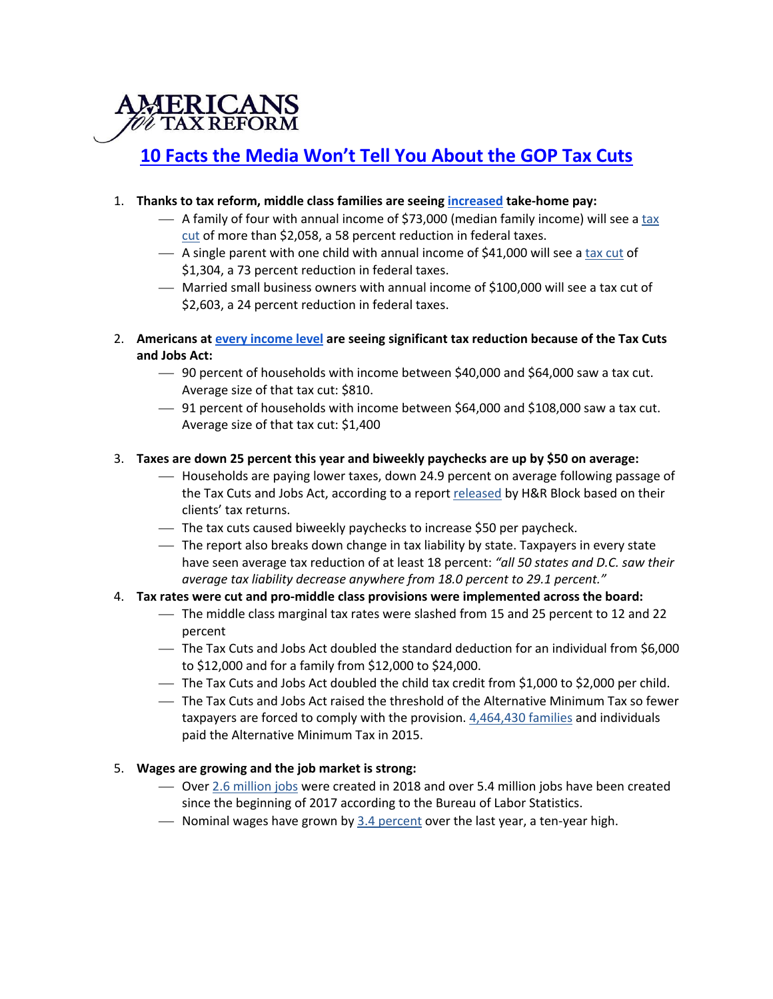

# **10 Facts the Media Won't Tell You About the GOP Tax Cuts**

## 1. **Thanks to tax reform, middle class families are seeing increased take-home pay:**

- $-$  A family of four with annual income of \$73,000 (median family income) will see a tax cut of more than \$2,058, a 58 percent reduction in federal taxes.
- $-$  A single parent with one child with annual income of \$41,000 will see a tax cut of \$1,304, a 73 percent reduction in federal taxes.
- ¾ Married small business owners with annual income of \$100,000 will see a tax cut of \$2,603, a 24 percent reduction in federal taxes.
- 2. **Americans at every income level are seeing significant tax reduction because of the Tax Cuts and Jobs Act:**
	- ¾ 90 percent of households with income between \$40,000 and \$64,000 saw a tax cut. Average size of that tax cut: \$810.
	- ¾ 91 percent of households with income between \$64,000 and \$108,000 saw a tax cut. Average size of that tax cut: \$1,400

## 3. **Taxes are down 25 percent this year and biweekly paychecks are up by \$50 on average:**

- ¾ Households are paying lower taxes, down 24.9 percent on average following passage of the Tax Cuts and Jobs Act, according to a report released by H&R Block based on their clients' tax returns.
- $\sim$  The tax cuts caused biweekly paychecks to increase \$50 per paycheck.
- ¾ The report also breaks down change in tax liability by state. Taxpayers in every state have seen average tax reduction of at least 18 percent: *"all 50 states and D.C. saw their average tax liability decrease anywhere from 18.0 percent to 29.1 percent."*

## 4. **Tax rates were cut and pro-middle class provisions were implemented across the board:**

- ¾ The middle class marginal tax rates were slashed from 15 and 25 percent to 12 and 22 percent
- ¾ The Tax Cuts and Jobs Act doubled the standard deduction for an individual from \$6,000 to \$12,000 and for a family from \$12,000 to \$24,000.
- $-$  The Tax Cuts and Jobs Act doubled the child tax credit from \$1,000 to \$2,000 per child.
- ¾ The Tax Cuts and Jobs Act raised the threshold of the Alternative Minimum Tax so fewer taxpayers are forced to comply with the provision. 4,464,430 families and individuals paid the Alternative Minimum Tax in 2015.

## 5. **Wages are growing and the job market is strong:**

- ¾ Over 2.6 million jobs were created in 2018 and over 5.4 million jobs have been created since the beginning of 2017 according to the Bureau of Labor Statistics.
- $\sim$  Nominal wages have grown by 3.4 percent over the last year, a ten-year high.